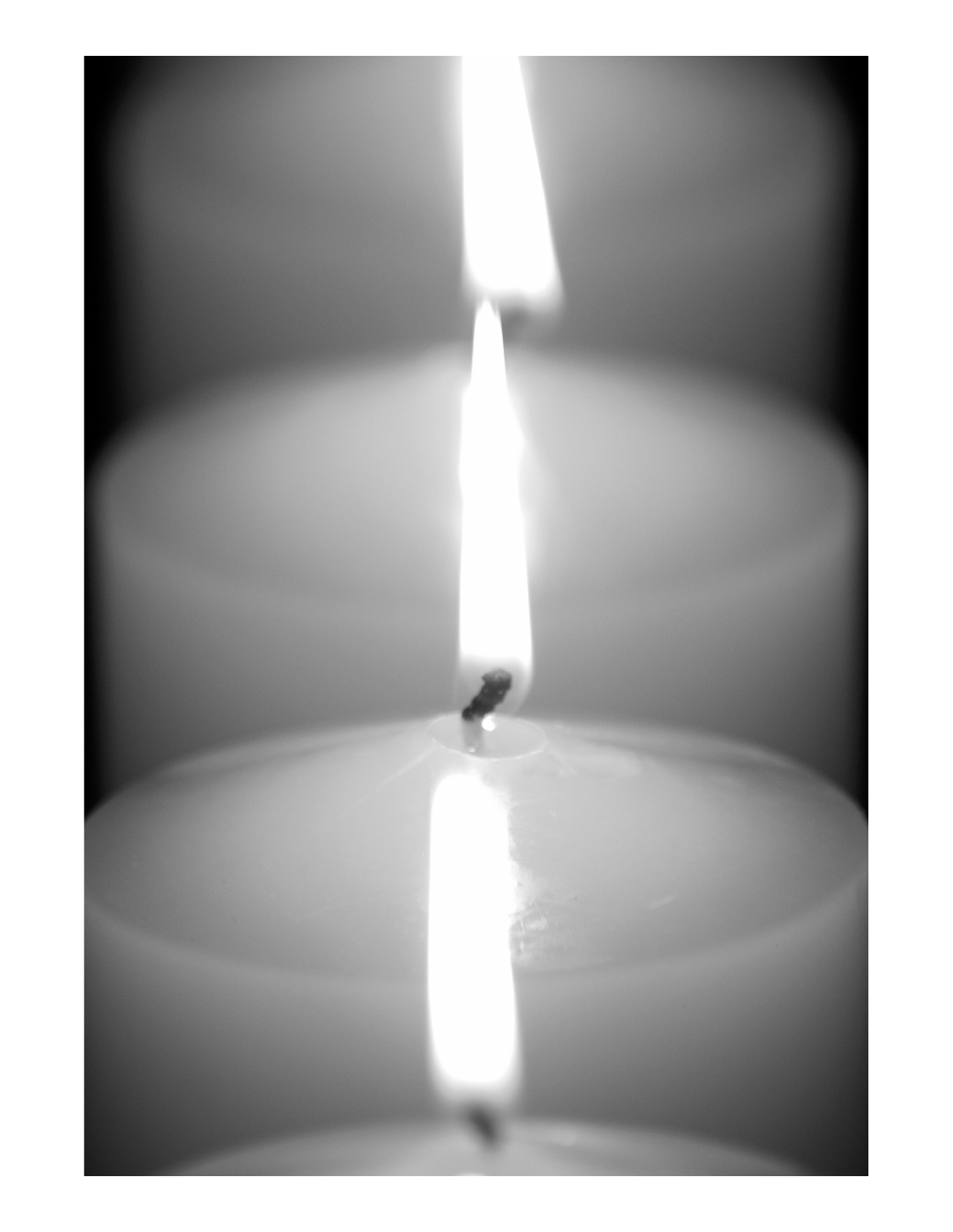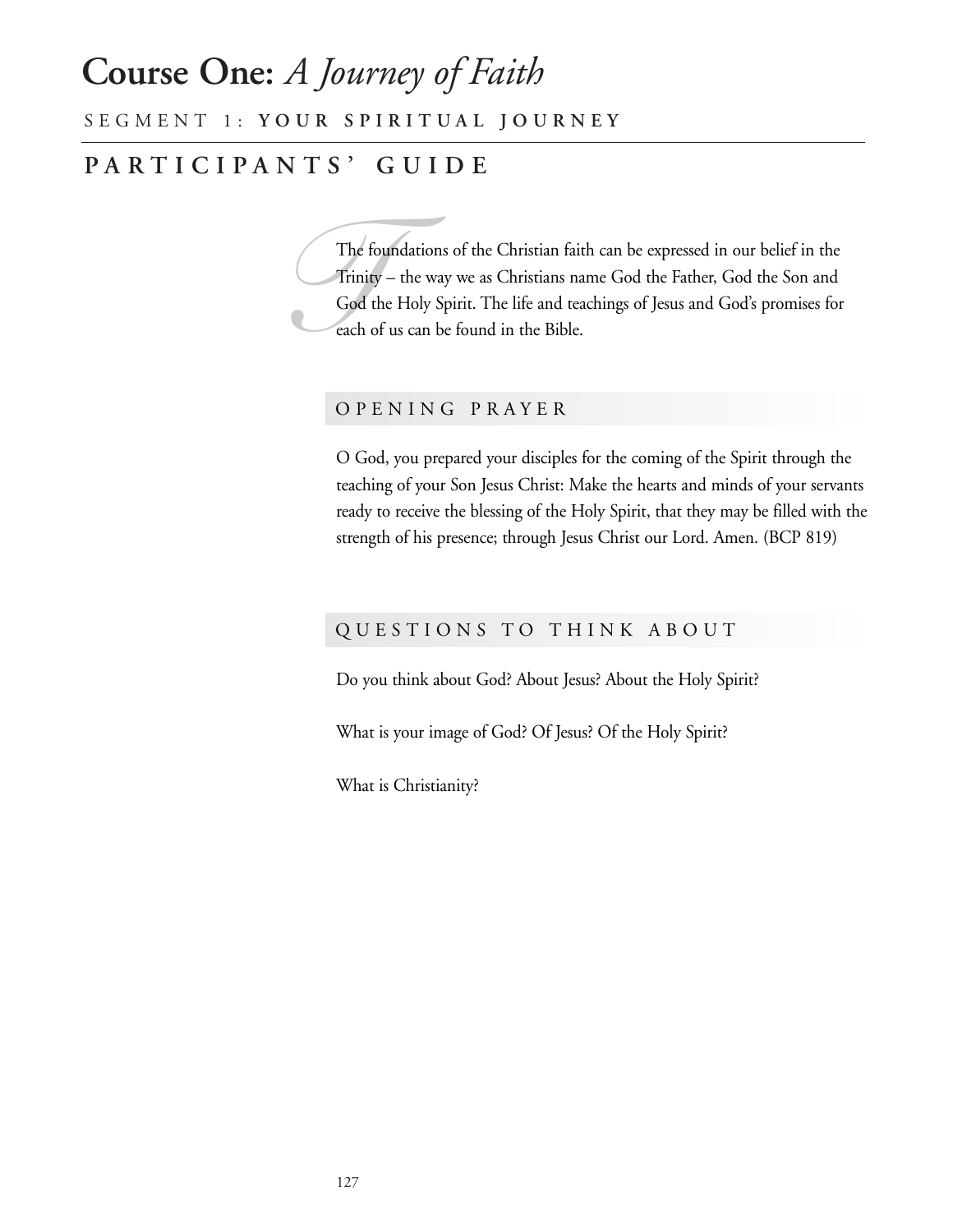# **Course One:** *A Journey of Faith*

SEGMENT 1: **Y OUR SPIRITUAL JOURNEY**

# **P A R TICIPANTS' GUIDE**

The foundations of the Christian faith can be expressed in our belief in the Trinity – the way we as Christians name God the Father, God the Son and God the Holy Spirit. The life and teachings of Jesus and God's promises for each of us can be found in the Bible.

#### OPENING PRAYER

O God, you prepared your disciples for the coming of the Spirit through the teaching of your Son Jesus Christ: Make the hearts and minds of your servants ready to receive the blessing of the Holy Spirit, that they may be filled with the strength of his presence; through Jesus Christ our Lord. Amen. (BCP 819)

#### Q UESTIONS TO THINK ABOUT

Do you think about God? About Jesus? About the Holy Spirit?

What is your image of God? Of Jesus? Of the Holy Spirit?

What is Christianity?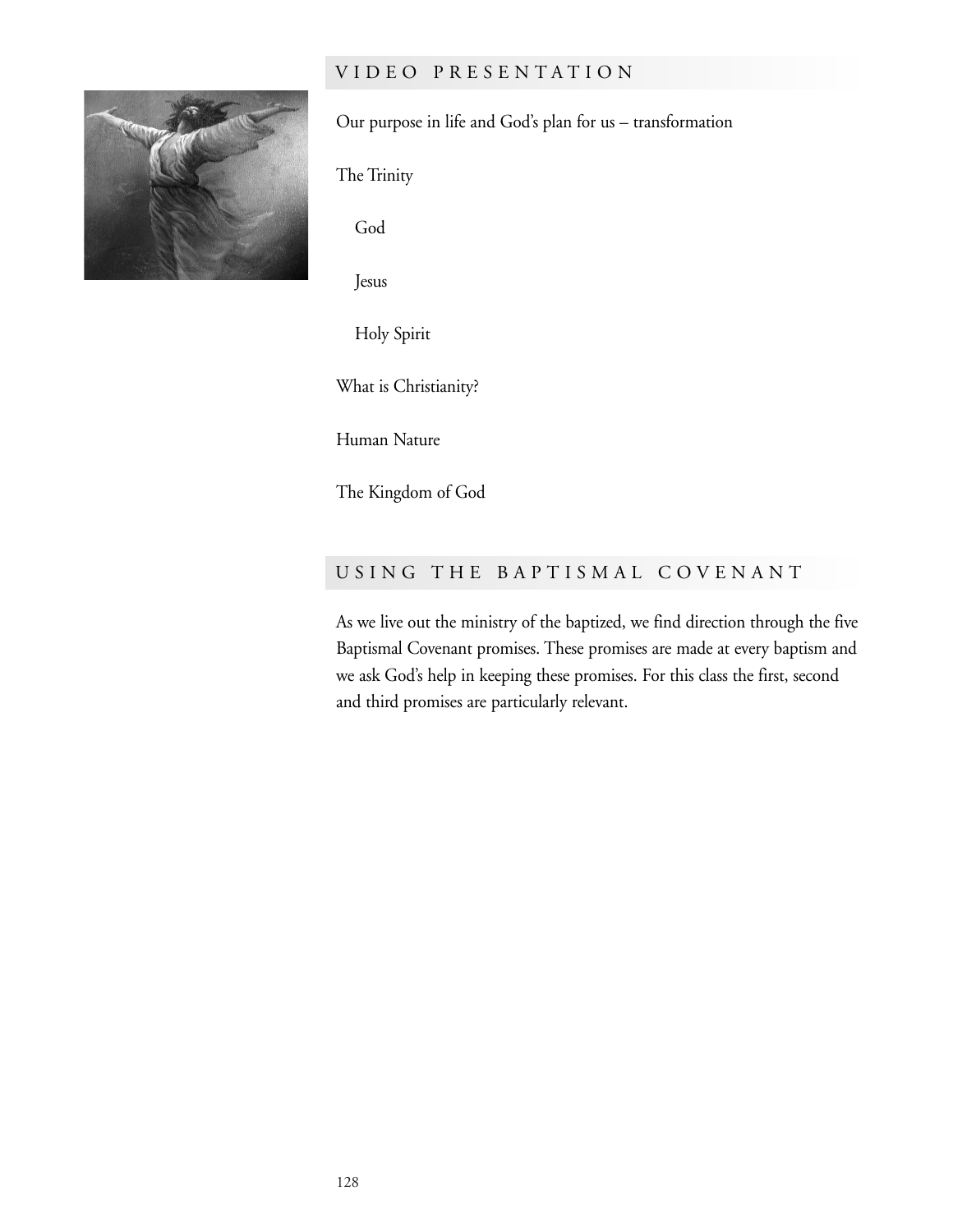## VIDEO PRESENTATION



## Our purpose in life and God's plan for us – transformation

The Trinity

God

Jesus

Holy Spirit

What is Christianity?

Human Nature

The Kingdom of God

## USING THE BAPTISMAL COVENANT

As we live out the ministry of the baptized, we find direction through the five Baptismal Covenant promises. These promises are made at every baptism and we ask God's help in keeping these promises. For this class the first, second and third promises are particularly relevant.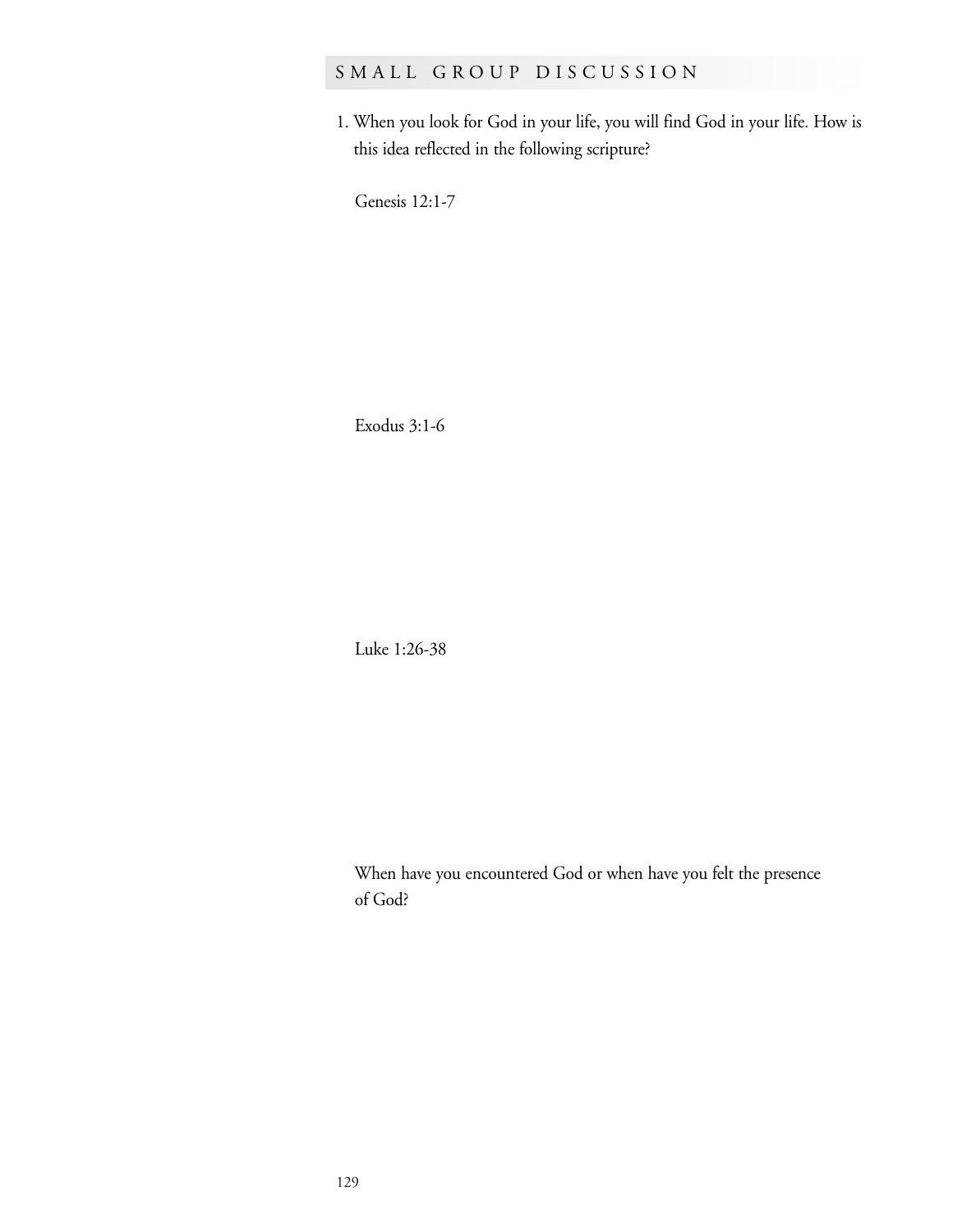## SMALL GROUP DISCUSSION

1. When you look for God in your life, you will find God in your life. How is this idea reflected in the following scripture?

Genesis 12:1-7

Exodus 3:1-6

Luke 1:26-38

When have you encountered God or when have you felt the presence of God?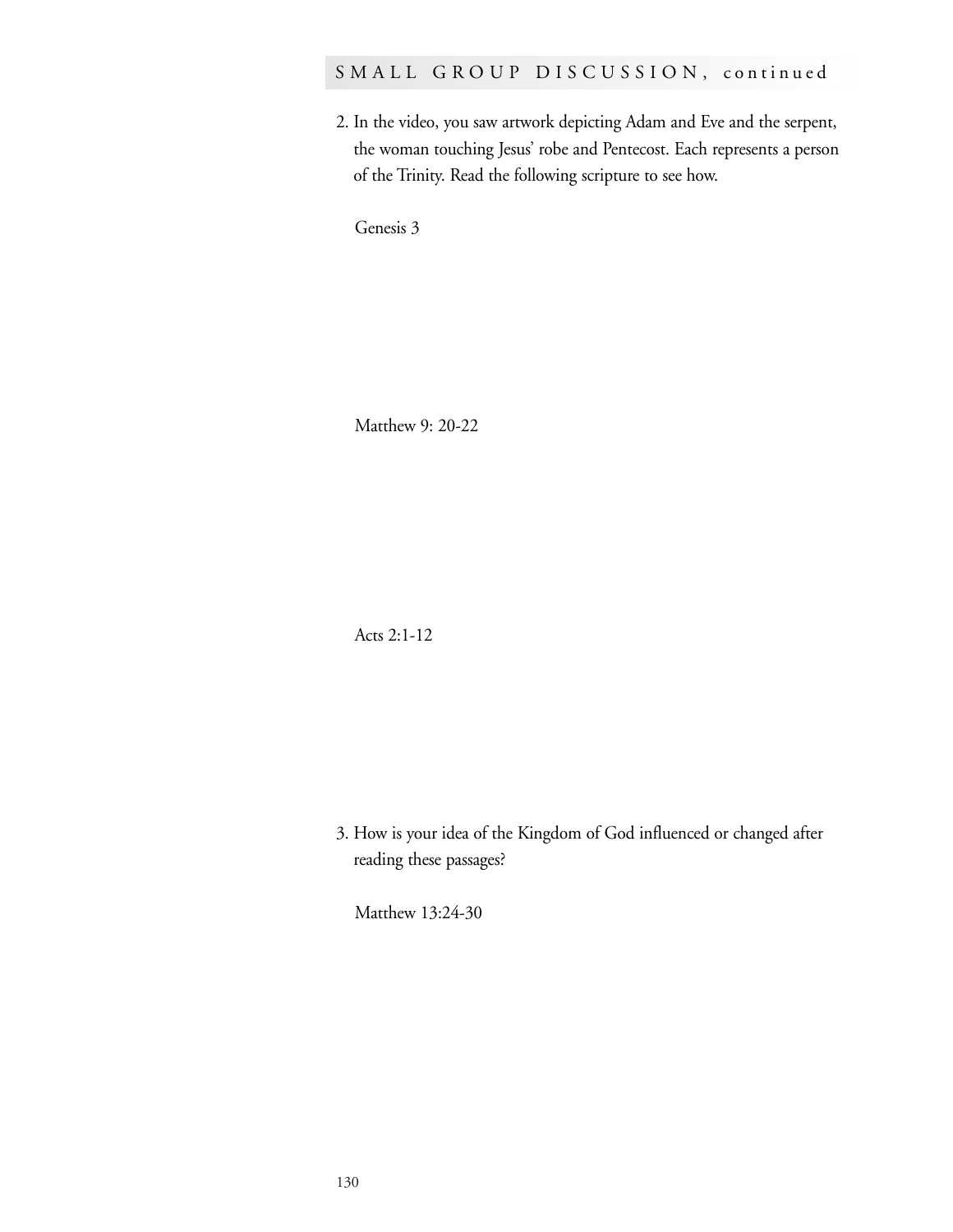#### SMALL GROUP DISCUSSION, continued

2. In the video, you saw artwork depicting Adam and Eve and the serpent, the woman touching Jesus' robe and Pentecost. Each represents a person of the Trinity. Read the following scripture to see how.

Genesis 3

Matthew 9: 20-22

Acts 2:1-12

3. How is your idea of the Kingdom of God influenced or changed after reading these passages?

Matthew 13:24-30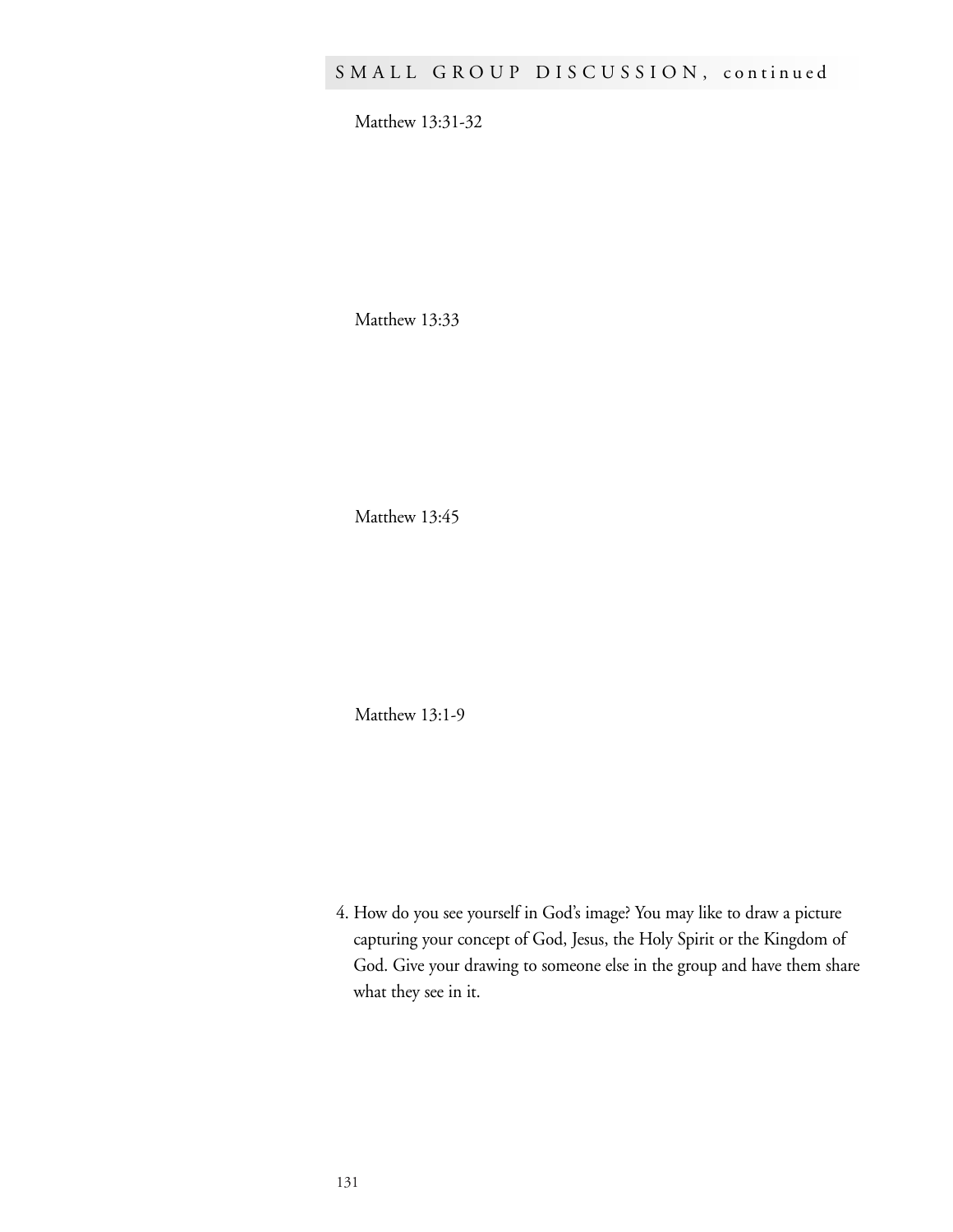## SMALL GROUP DISCUSSION, continued

Matthew 13:31-32

Matthew 13:33

Matthew 13:45

Matthew 13:1-9

4. How do you see yourself in God's image? You may like to draw a picture capturing your concept of God, Jesus, the Holy Spirit or the Kingdom of God. Give your drawing to someone else in the group and have them share what they see in it.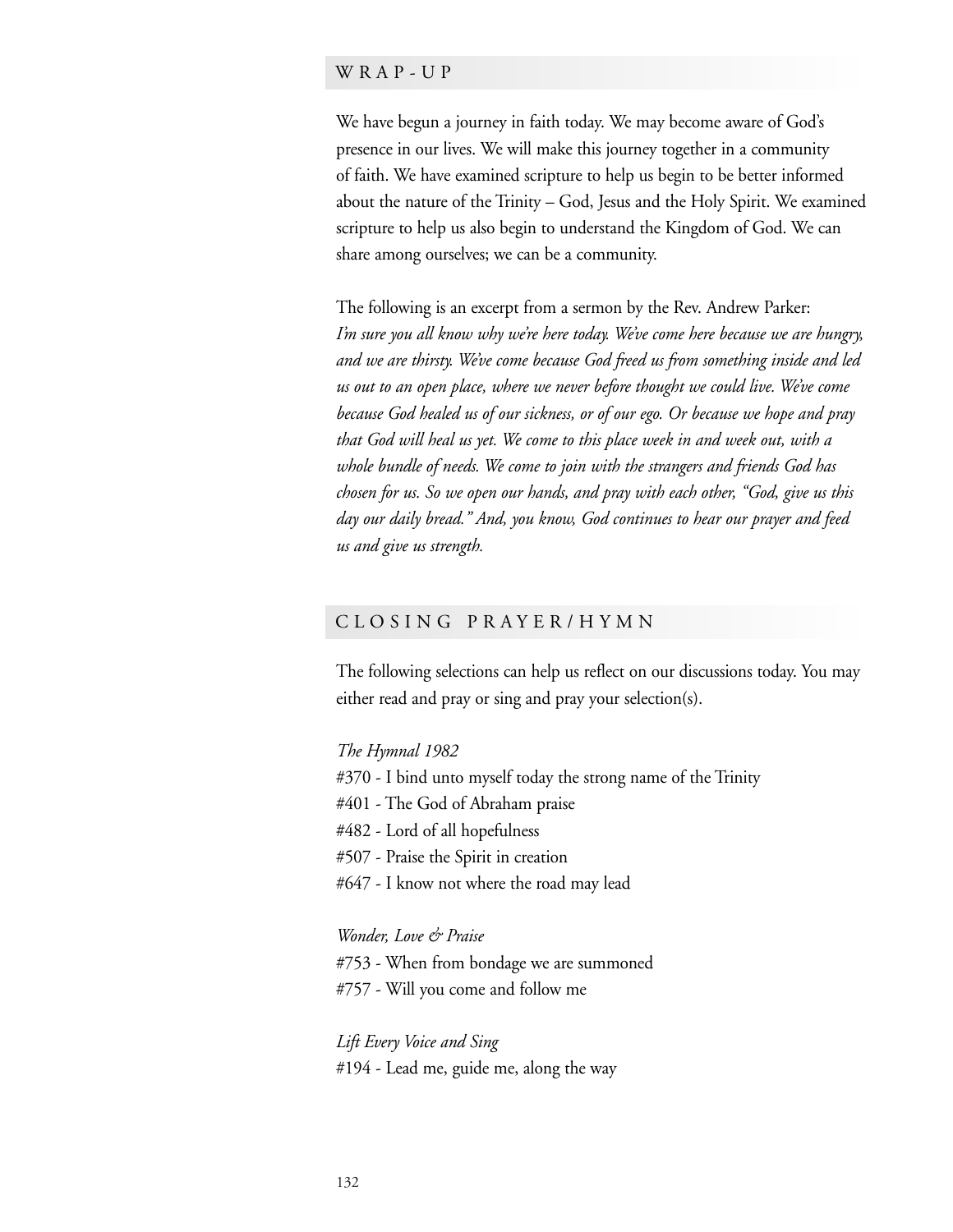#### WRAP-UP

We have begun a journey in faith today. We may become aware of God's presence in our lives. We will make this journey together in a community of faith. We have examined scripture to help us begin to be better informed about the nature of the Trinity – God, Jesus and the Holy Spirit. We examined scripture to help us also begin to understand the Kingdom of God. We can share among ourselves; we can be a community.

The following is an excerpt from a sermon by the Rev. Andrew Parker: *I'm sure you all know why we're here today. We've come here because we are hungry, and we are thirsty. We've come because God freed us from something inside and led us out to an open place, where we never before thought we could live. We've come because God healed us of our sickness, or of our ego. Or because we hope and pray that God will heal us yet. We come to this place week in and week out, with a whole bundle of needs. We come to join with the strangers and friends God has chosen for us. So we open our hands, and pray with each other, "God, give us this day our daily bread." And, you know, God continues to hear our prayer and feed us and give us strength.*

#### CLOSING PRAYER/HYMN

The following selections can help us reflect on our discussions today. You may either read and pray or sing and pray your selection(s).

#### *The Hymnal 1982*

- #370 I bind unto myself today the strong name of the Trinity #401 - The God of Abraham praise
- #482 Lord of all hopefulness
- #507 Praise the Spirit in creation
- #647 I know not where the road may lead

*Wonder, Love & Praise* #753 - When from bondage we are summoned #757 - Will you come and follow me

*Lift Every Voice and Sing* #194 - Lead me, guide me, along the way